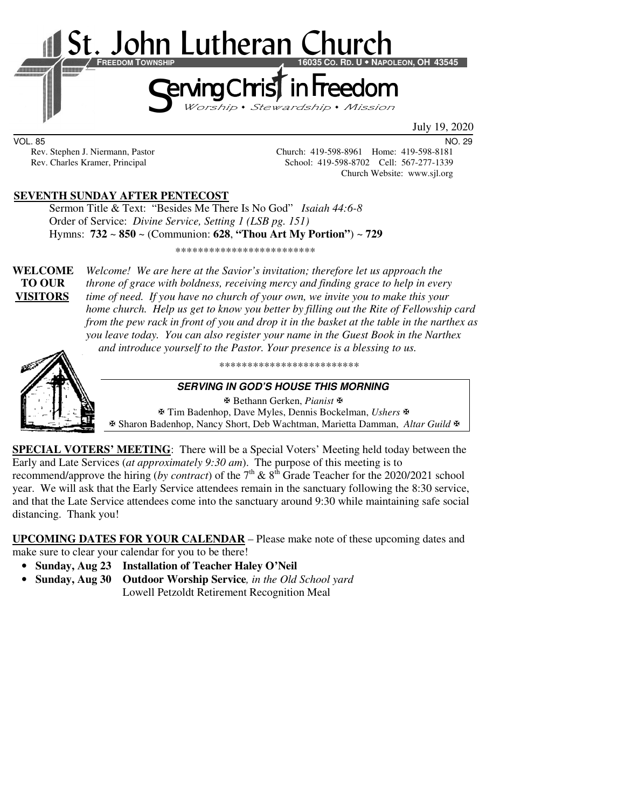

VOL. 85 NO. 29

Rev. Stephen J. Niermann, Pastor Church: 419-598-8961 Home: 419-598-8181 Rev. Charles Kramer, Principal School: 419-598-8702 Cell: 567-277-1339 Church Website: www.sjl.org

## **SEVENTH SUNDAY AFTER PENTECOST**

Sermon Title & Text: "Besides Me There Is No God" *Isaiah 44:6-8* Order of Service: *Divine Service, Setting 1 (LSB pg. 151)* Hymns: **732** ~ **850** ~ (Communion: **628**, **"Thou Art My Portion"**) ~ **729**

\*\*\*\*\*\*\*\*\*\*\*\*\*\*\*\*\*\*\*\*\*\*\*\*\*

**WELCOME** *Welcome! We are here at the Savior's invitation; therefore let us approach the*   **TO OUR** *throne of grace with boldness, receiving mercy and finding grace to help in every*  **VISITORS** *time of need. If you have no church of your own, we invite you to make this your home church. Help us get to know you better by filling out the Rite of Fellowship card from the pew rack in front of you and drop it in the basket at the table in the narthex as you leave today. You can also register your name in the Guest Book in the Narthex and introduce yourself to the Pastor. Your presence is a blessing to us.* 



\*\*\*\*\*\*\*\*\*\*\*\*\*\*\*\*\*\*\*\*\*\*\*\*\*

#### **SERVING IN GOD'S HOUSE THIS MORNING**

 Bethann Gerken, *Pianist* Tim Badenhop, Dave Myles, Dennis Bockelman, *Ushers* Sharon Badenhop, Nancy Short, Deb Wachtman, Marietta Damman, *Altar Guild*

**SPECIAL VOTERS' MEETING**: There will be a Special Voters' Meeting held today between the Early and Late Services (*at approximately 9:30 am*). The purpose of this meeting is to recommend/approve the hiring (*by contract*) of the  $7<sup>th</sup>$  &  $8<sup>th</sup>$  Grade Teacher for the 2020/2021 school year. We will ask that the Early Service attendees remain in the sanctuary following the 8:30 service, and that the Late Service attendees come into the sanctuary around 9:30 while maintaining safe social distancing. Thank you!

**UPCOMING DATES FOR YOUR CALENDAR** – Please make note of these upcoming dates and

make sure to clear your calendar for you to be there!

- **Sunday, Aug 23 Installation of Teacher Haley O'Neil**
- **Sunday, Aug 30 Outdoor Worship Service***, in the Old School yard* Lowell Petzoldt Retirement Recognition Meal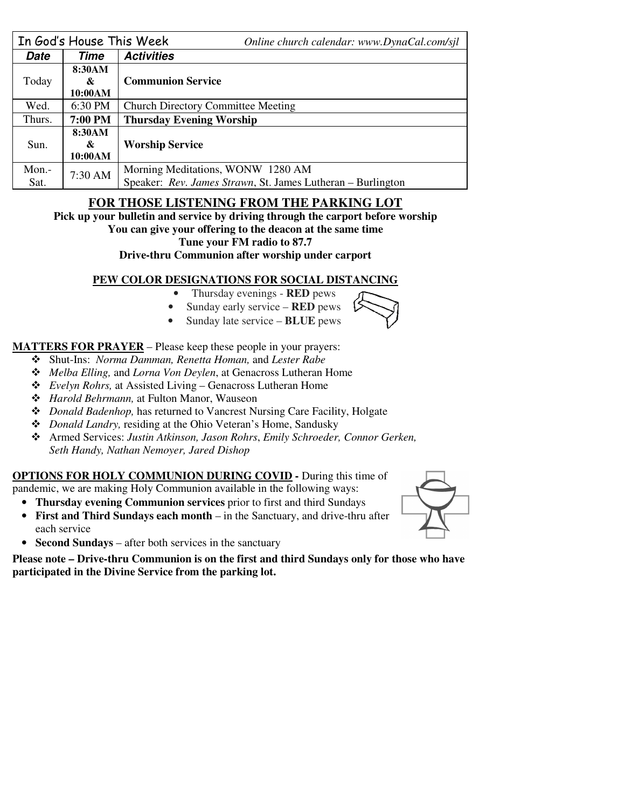|        | In God's House This Week | Online church calendar: www.DynaCal.com/sjl                 |  |  |
|--------|--------------------------|-------------------------------------------------------------|--|--|
| Date   | Time                     | <b>Activities</b>                                           |  |  |
| Today  | 8:30AM                   | <b>Communion Service</b>                                    |  |  |
|        | &                        |                                                             |  |  |
|        | 10:00AM                  |                                                             |  |  |
| Wed.   | 6:30 PM                  | <b>Church Directory Committee Meeting</b>                   |  |  |
| Thurs. | 7:00 PM                  | <b>Thursday Evening Worship</b>                             |  |  |
|        | 8:30AM                   |                                                             |  |  |
| Sun.   | &                        | <b>Worship Service</b>                                      |  |  |
|        | 10:00AM                  |                                                             |  |  |
| Mon.-  | 7:30 AM                  | Morning Meditations, WONW 1280 AM                           |  |  |
| Sat.   |                          | Speaker: Rev. James Strawn, St. James Lutheran - Burlington |  |  |

# **FOR THOSE LISTENING FROM THE PARKING LOT**

**Pick up your bulletin and service by driving through the carport before worship** 

**You can give your offering to the deacon at the same time** 

**Tune your FM radio to 87.7** 

**Drive-thru Communion after worship under carport** 

## **PEW COLOR DESIGNATIONS FOR SOCIAL DISTANCING**

- Thursday evenings **RED** pews
- Sunday early service **RED** pews
- Sunday late service **BLUE** pews

**MATTERS FOR PRAYER** – Please keep these people in your prayers:

- Shut-Ins: *Norma Damman, Renetta Homan,* and *Lester Rabe*
- *Melba Elling,* and *Lorna Von Deylen*, at Genacross Lutheran Home
- *Evelyn Rohrs,* at Assisted Living Genacross Lutheran Home
- *Harold Behrmann,* at Fulton Manor, Wauseon
- *Donald Badenhop,* has returned to Vancrest Nursing Care Facility, Holgate
- *Donald Landry,* residing at the Ohio Veteran's Home, Sandusky
- Armed Services: *Justin Atkinson, Jason Rohrs*, *Emily Schroeder, Connor Gerken, Seth Handy, Nathan Nemoyer, Jared Dishop*

## **OPTIONS FOR HOLY COMMUNION DURING COVID -** During this time of

pandemic, we are making Holy Communion available in the following ways:

- **Thursday evening Communion services** prior to first and third Sundays
- **First and Third Sundays each month** in the Sanctuary, and drive-thru after each service
- **Second Sundays** after both services in the sanctuary

**Please note – Drive-thru Communion is on the first and third Sundays only for those who have participated in the Divine Service from the parking lot.** 



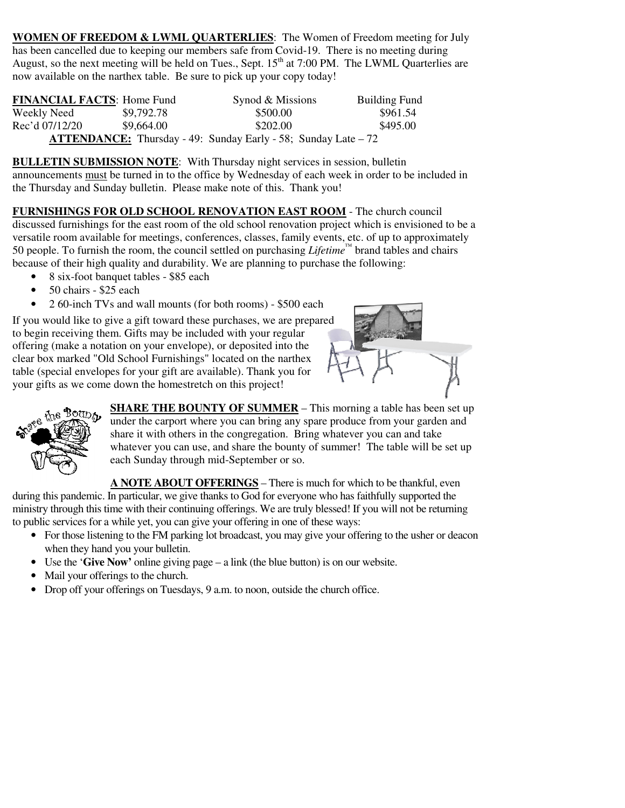**WOMEN OF FREEDOM & LWML QUARTERLIES**: The Women of Freedom meeting for July has been cancelled due to keeping our members safe from Covid-19. There is no meeting during August, so the next meeting will be held on Tues., Sept.  $15<sup>th</sup>$  at 7:00 PM. The LWML Quarterlies are now available on the narthex table. Be sure to pick up your copy today!

| <b>FINANCIAL FACTS: Home Fund</b> |            | Synod & Missions                                                       | <b>Building Fund</b> |
|-----------------------------------|------------|------------------------------------------------------------------------|----------------------|
| Weekly Need                       | \$9,792.78 | \$500.00                                                               | \$961.54             |
| Rec'd 07/12/20                    | \$9,664.00 | \$202.00                                                               | \$495.00             |
|                                   |            | <b>ATTENDANCE:</b> Thursday - 49: Sunday Early - 58; Sunday Late $-72$ |                      |

**BULLETIN SUBMISSION NOTE**: With Thursday night services in session, bulletin announcements must be turned in to the office by Wednesday of each week in order to be included in the Thursday and Sunday bulletin. Please make note of this. Thank you!

**FURNISHINGS FOR OLD SCHOOL RENOVATION EAST ROOM** - The church council discussed furnishings for the east room of the old school renovation project which is envisioned to be a versatile room available for meetings, conferences, classes, family events, etc. of up to approximately 50 people. To furnish the room, the council settled on purchasing *Lifetime™* brand tables and chairs because of their high quality and durability. We are planning to purchase the following:

- 8 six-foot banquet tables \$85 each
- 50 chairs \$25 each
- 2 60-inch TVs and wall mounts (for both rooms) \$500 each

If you would like to give a gift toward these purchases, we are prepared to begin receiving them. Gifts may be included with your regular offering (make a notation on your envelope), or deposited into the clear box marked "Old School Furnishings" located on the narthex table (special envelopes for your gift are available). Thank you for your gifts as we come down the homestretch on this project!





**SHARE THE BOUNTY OF SUMMER** – This morning a table has been set up under the carport where you can bring any spare produce from your garden and share it with others in the congregation. Bring whatever you can and take whatever you can use, and share the bounty of summer! The table will be set up each Sunday through mid-September or so.

**A NOTE ABOUT OFFERINGS** – There is much for which to be thankful, even during this pandemic. In particular, we give thanks to God for everyone who has faithfully supported the ministry through this time with their continuing offerings. We are truly blessed! If you will not be returning to public services for a while yet, you can give your offering in one of these ways:

- For those listening to the FM parking lot broadcast, you may give your offering to the usher or deacon when they hand you your bulletin.
- Use the '**Give Now'** online giving page a link (the blue button) is on our website.
- Mail your offerings to the church.
- Drop off your offerings on Tuesdays, 9 a.m. to noon, outside the church office.